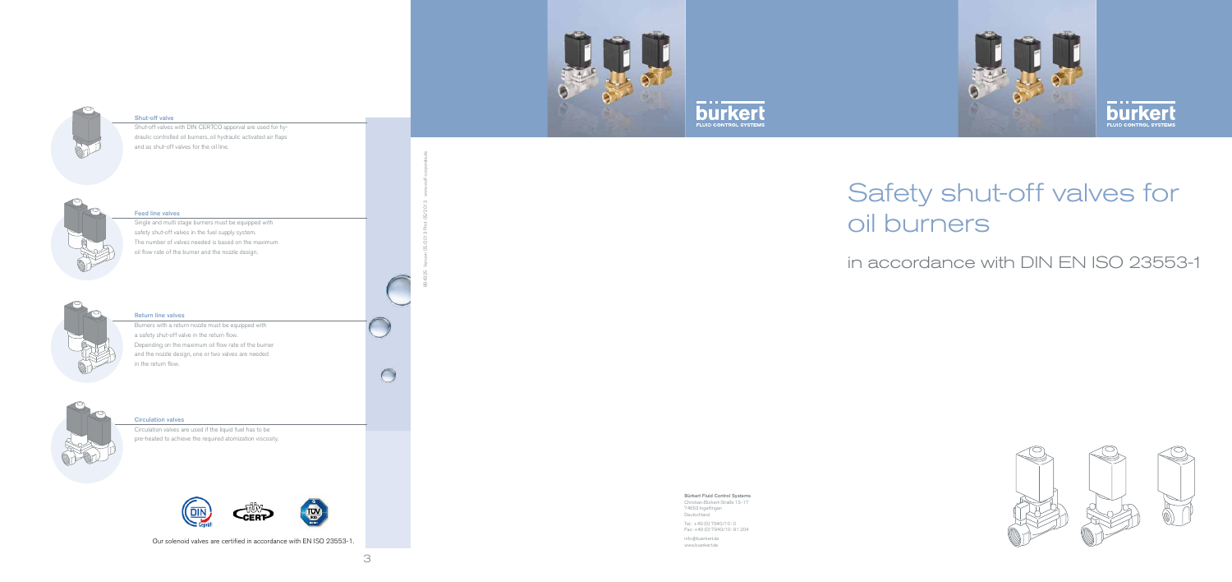

 $\bigcirc$ 







## Shut-off valve

Shut-off valves with DIN CERTCO apporval are used for hydraulic controlled oil burners, oil hydraulic activated air flaps and as shut-off valves for the oil line.



#### Feed line valves

Single and multi stage burners must be equipped with safety shut-off valves in the fuel supply system. The number of valves needed is based on the maximum oil flow rate of the burner and the nozzle design.



### Return line valves

Burners with a return nozzle must be equipped with a safety shut-off valve in the return flow. Depending on the maximum oil flow rate of the burner and the nozzle design, one or two valves are needed in the return flow.



#### Circulation valves

Circulation valves are used if the liquid fuel has to be pre-heated to achieve the required atomization viscosity.



Bürkert Fluid Control Systems

Christian-Bürkert-Straße 13-17 74653 Ingelfingen Deutschland

Tel.: +49 (0) 7940/10-0 Fax: +49 (0) 7940/10-91 204

info@buerkert.de www.buerkert.de



894325 Version 05/2013 Print 05/2013 www.wolf-corporate.de



in accordance with DIN EN ISO 23553-1